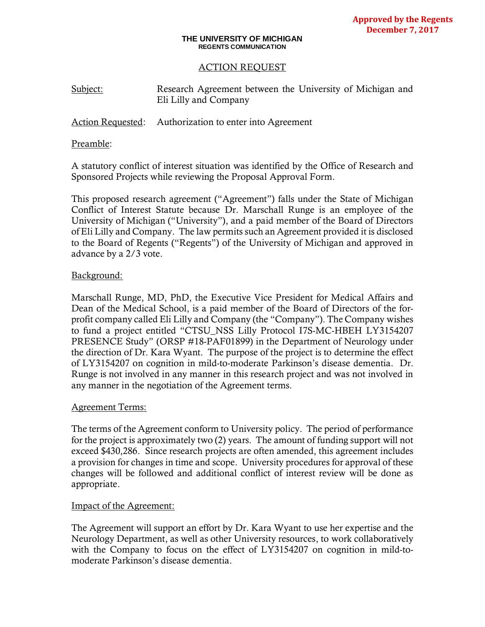### **THE UNIVERSITY OF MICHIGAN REGENTS COMMUNICATION**

# ACTION REQUEST

Subject: Research Agreement between the University of Michigan and Eli Lilly and Company

Action Requested: Authorization to enter into Agreement

# Preamble:

A statutory conflict of interest situation was identified by the Office of Research and Sponsored Projects while reviewing the Proposal Approval Form.

This proposed research agreement ("Agreement") falls under the State of Michigan Conflict of Interest Statute because Dr. Marschall Runge is an employee of the University of Michigan ("University"), and a paid member of the Board of Directors of Eli Lilly and Company. The law permits such an Agreement provided it is disclosed to the Board of Regents ("Regents") of the University of Michigan and approved in advance by a 2/3 vote.

# Background:

Marschall Runge, MD, PhD, the Executive Vice President for Medical Affairs and Dean of the Medical School, is a paid member of the Board of Directors of the forprofit company called Eli Lilly and Company (the "Company"). The Company wishes to fund a project entitled "CTSU\_NSS Lilly Protocol I7S-MC-HBEH LY3154207 PRESENCE Study" (ORSP #18-PAF01899) in the Department of Neurology under the direction of Dr. Kara Wyant. The purpose of the project is to determine the effect of LY3154207 on cognition in mild-to-moderate Parkinson's disease dementia. Dr. Runge is not involved in any manner in this research project and was not involved in any manner in the negotiation of the Agreement terms.

# Agreement Terms:

The terms of the Agreement conform to University policy. The period of performance for the project is approximately two (2) years. The amount of funding support will not exceed \$430,286. Since research projects are often amended, this agreement includes a provision for changes in time and scope. University procedures for approval of these changes will be followed and additional conflict of interest review will be done as appropriate.

# Impact of the Agreement:

The Agreement will support an effort by Dr. Kara Wyant to use her expertise and the Neurology Department, as well as other University resources, to work collaboratively with the Company to focus on the effect of LY3154207 on cognition in mild-tomoderate Parkinson's disease dementia.